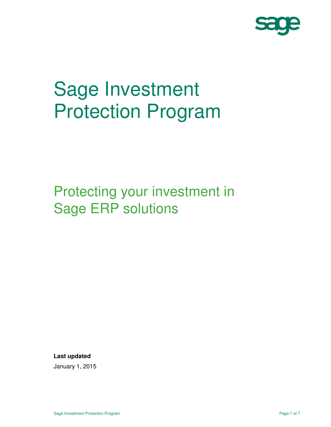

# Sage Investment Protection Program

## Protecting your investment in Sage ERP solutions

**Last updated** 

January 1, 2015 Ī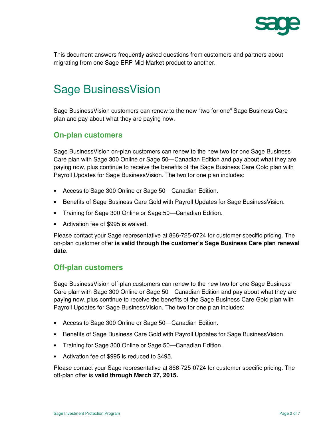

This document answers frequently asked questions from customers and partners about migrating from one Sage ERP Mid-Market product to another.

## Sage BusinessVision

Sage BusinessVision customers can renew to the new "two for one" Sage Business Care plan and pay about what they are paying now.

#### **On-plan customers**

Sage BusinessVision on-plan customers can renew to the new two for one Sage Business Care plan with Sage 300 Online or Sage 50—Canadian Edition and pay about what they are paying now, plus continue to receive the benefits of the Sage Business Care Gold plan with Payroll Updates for Sage BusinessVision. The two for one plan includes:

- Access to Sage 300 Online or Sage 50—Canadian Edition.
- Benefits of Sage Business Care Gold with Payroll Updates for Sage BusinessVision.
- Training for Sage 300 Online or Sage 50—Canadian Edition.
- Activation fee of \$995 is waived.

Please contact your Sage representative at 866-725-0724 for customer specific pricing. The on-plan customer offer **is valid through the customer's Sage Business Care plan renewal date**.

#### **Off-plan customers**

Sage BusinessVision off-plan customers can renew to the new two for one Sage Business Care plan with Sage 300 Online or Sage 50—Canadian Edition and pay about what they are paying now, plus continue to receive the benefits of the Sage Business Care Gold plan with Payroll Updates for Sage BusinessVision. The two for one plan includes:

- Access to Sage 300 Online or Sage 50—Canadian Edition.
- Benefits of Sage Business Care Gold with Payroll Updates for Sage BusinessVision.
- Training for Sage 300 Online or Sage 50—Canadian Edition.
- Activation fee of \$995 is reduced to \$495.

Please contact your Sage representative at 866-725-0724 for customer specific pricing. The off-plan offer is **valid through March 27, 2015.**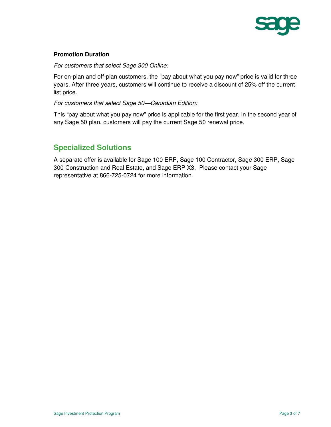

#### **Promotion Duration**

For customers that select Sage 300 Online:

For on-plan and off-plan customers, the "pay about what you pay now" price is valid for three years. After three years, customers will continue to receive a discount of 25% off the current list price.

For customers that select Sage 50—Canadian Edition:

This "pay about what you pay now" price is applicable for the first year. In the second year of any Sage 50 plan, customers will pay the current Sage 50 renewal price.

#### **Specialized Solutions**

A separate offer is available for Sage 100 ERP, Sage 100 Contractor, Sage 300 ERP, Sage 300 Construction and Real Estate, and Sage ERP X3. Please contact your Sage representative at 866-725-0724 for more information.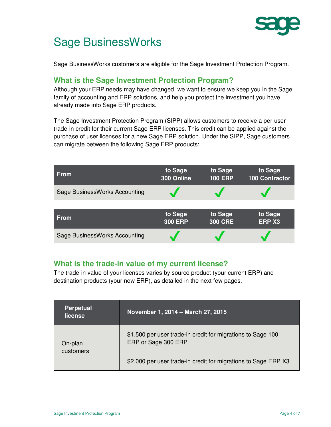

## Sage BusinessWorks

Sage BusinessWorks customers are eligible for the Sage Investment Protection Program.

#### **What is the Sage Investment Protection Program?**

Although your ERP needs may have changed, we want to ensure we keep you in the Sage family of accounting and ERP solutions, and help you protect the investment you have already made into Sage ERP products.

The Sage Investment Protection Program (SIPP) allows customers to receive a per-user trade-in credit for their current Sage ERP licenses. This credit can be applied against the purchase of user licenses for a new Sage ERP solution. Under the SIPP, Sage customers can migrate between the following Sage ERP products:

| <b>From</b>                   | to Sage<br>300 Online     | to Sage<br><b>100 ERP</b> | to Sage<br>100 Contractor |
|-------------------------------|---------------------------|---------------------------|---------------------------|
| Sage BusinessWorks Accounting |                           |                           |                           |
|                               |                           |                           |                           |
| <b>From</b>                   | to Sage<br><b>300 ERP</b> | to Sage<br><b>300 CRE</b> | to Sage<br><b>ERP X3</b>  |
| Sage BusinessWorks Accounting |                           |                           |                           |

#### **What is the trade-in value of my current license?**

The trade-in value of your licenses varies by source product (your current ERP) and destination products (your new ERP), as detailed in the next few pages.

| <b>Perpetual</b><br>license | November 1, 2014 - March 27, 2015                                                  |  |  |
|-----------------------------|------------------------------------------------------------------------------------|--|--|
| On-plan<br>customers        | \$1,500 per user trade-in credit for migrations to Sage 100<br>ERP or Sage 300 ERP |  |  |
|                             | \$2,000 per user trade-in credit for migrations to Sage ERP X3                     |  |  |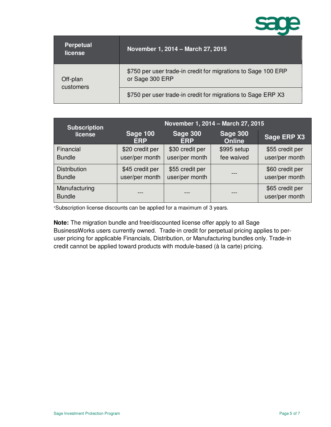

| <b>Perpetual</b><br>license | November 1, 2014 - March 27, 2015                                                |
|-----------------------------|----------------------------------------------------------------------------------|
| Off-plan<br>customers       | \$750 per user trade-in credit for migrations to Sage 100 ERP<br>or Sage 300 ERP |
|                             | \$750 per user trade-in credit for migrations to Sage ERP X3                     |

| <b>Subscription</b><br>license       | November 1, 2014 - March 27, 2015 |                                   |                                  |                                   |
|--------------------------------------|-----------------------------------|-----------------------------------|----------------------------------|-----------------------------------|
|                                      | <b>Sage 100</b><br><b>ERP</b>     | <b>Sage 300</b><br><b>ERP</b>     | <b>Sage 300</b><br><b>Online</b> | Sage ERP X3                       |
| Financial<br><b>Bundle</b>           | \$20 credit per<br>user/per month | \$30 credit per<br>user/per month | \$995 setup<br>fee waived        | \$55 credit per<br>user/per month |
| <b>Distribution</b><br><b>Bundle</b> | \$45 credit per<br>user/per month | \$55 credit per<br>user/per month |                                  | \$60 credit per<br>user/per month |
| Manufacturing<br><b>Bundle</b>       |                                   |                                   |                                  | \$65 credit per<br>user/per month |

\*Subscription license discounts can be applied for a maximum of 3 years.

**Note:** The migration bundle and free/discounted license offer apply to all Sage BusinessWorks users currently owned. Trade-in credit for perpetual pricing applies to peruser pricing for applicable Financials, Distribution, or Manufacturing bundles only. Trade-in credit cannot be applied toward products with module-based (à la carte) pricing.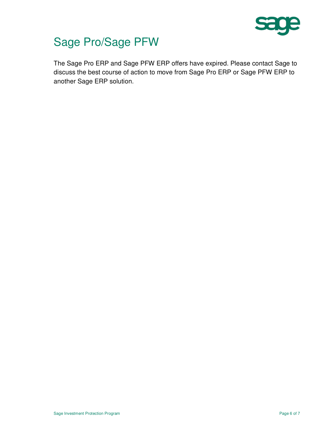

## Sage Pro/Sage PFW

The Sage Pro ERP and Sage PFW ERP offers have expired. Please contact Sage to discuss the best course of action to move from Sage Pro ERP or Sage PFW ERP to another Sage ERP solution.